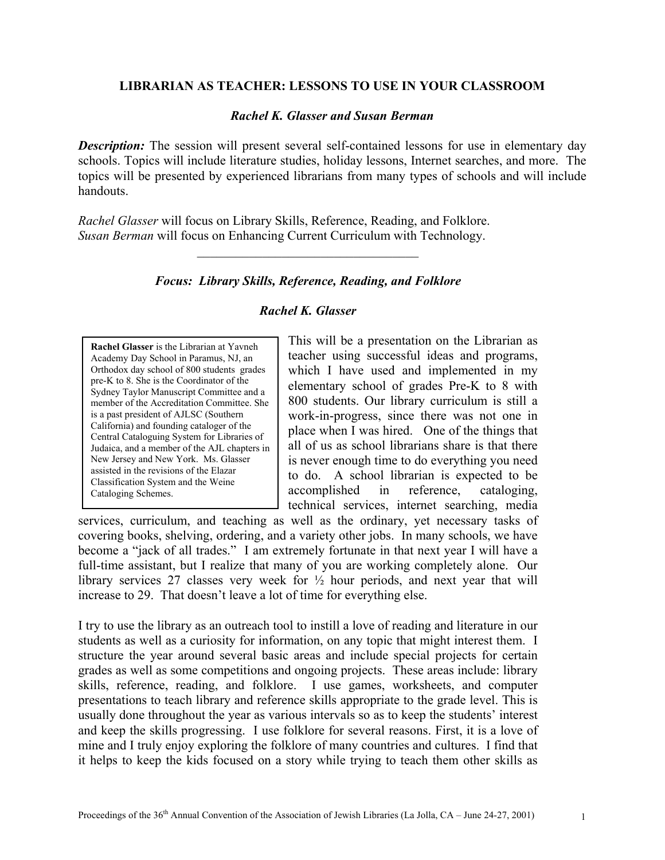### **LIBRARIAN AS TEACHER: LESSONS TO USE IN YOUR CLASSROOM**

### *Rachel K. Glasser and Susan Berman*

*Description:* The session will present several self-contained lessons for use in elementary day schools. Topics will include literature studies, holiday lessons, Internet searches, and more. The topics will be presented by experienced librarians from many types of schools and will include handouts.

*Rachel Glasser* will focus on Library Skills, Reference, Reading, and Folklore. *Susan Berman* will focus on Enhancing Current Curriculum with Technology.

## *Focus: Library Skills, Reference, Reading, and Folklore*

 $\mathcal{L}_\text{max}$  , where  $\mathcal{L}_\text{max}$  and  $\mathcal{L}_\text{max}$  and  $\mathcal{L}_\text{max}$ 

# *Rachel K. Glasser*

**Rachel Glasser** is the Librarian at Yavneh Academy Day School in Paramus, NJ, an Orthodox day school of 800 students grades pre-K to 8. She is the Coordinator of the Sydney Taylor Manuscript Committee and a member of the Accreditation Committee. She is a past president of AJLSC (Southern California) and founding cataloger of the Central Cataloguing System for Libraries of Judaica, and a member of the AJL chapters in New Jersey and New York. Ms. Glasser assisted in the revisions of the Elazar Classification System and the Weine Cataloging Schemes.

This will be a presentation on the Librarian as teacher using successful ideas and programs, which I have used and implemented in my elementary school of grades Pre-K to 8 with 800 students. Our library curriculum is still a work-in-progress, since there was not one in place when I was hired. One of the things that all of us as school librarians share is that there is never enough time to do everything you need to do. A school librarian is expected to be accomplished in reference, cataloging, technical services, internet searching, media

services, curriculum, and teaching as well as the ordinary, yet necessary tasks of covering books, shelving, ordering, and a variety other jobs. In many schools, we have become a "jack of all trades." I am extremely fortunate in that next year I will have a full-time assistant, but I realize that many of you are working completely alone. Our library services 27 classes very week for ½ hour periods, and next year that will increase to 29. That doesn't leave a lot of time for everything else.

I try to use the library as an outreach tool to instill a love of reading and literature in our students as well as a curiosity for information, on any topic that might interest them. I structure the year around several basic areas and include special projects for certain grades as well as some competitions and ongoing projects. These areas include: library skills, reference, reading, and folklore. I use games, worksheets, and computer presentations to teach library and reference skills appropriate to the grade level. This is usually done throughout the year as various intervals so as to keep the students' interest and keep the skills progressing. I use folklore for several reasons. First, it is a love of mine and I truly enjoy exploring the folklore of many countries and cultures. I find that it helps to keep the kids focused on a story while trying to teach them other skills as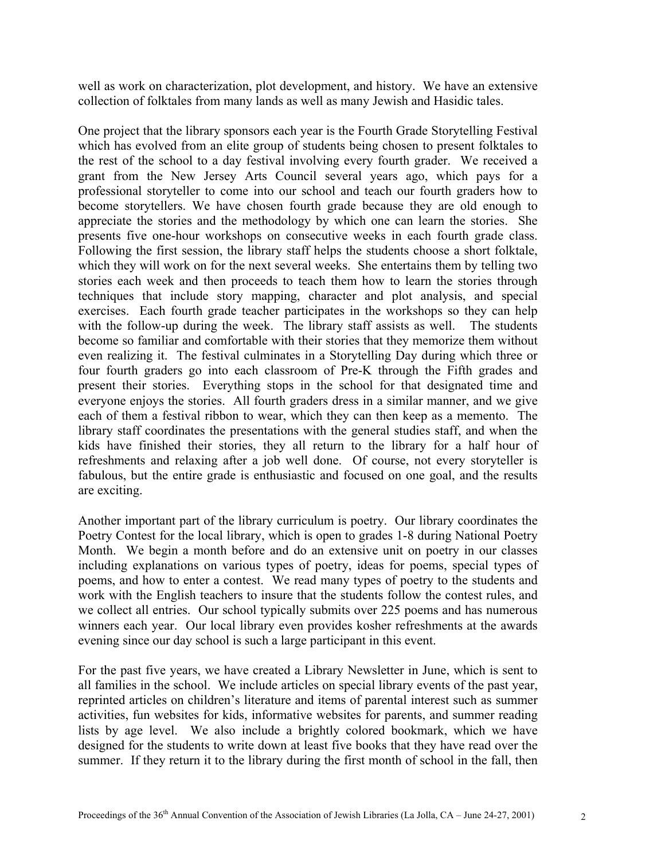well as work on characterization, plot development, and history. We have an extensive collection of folktales from many lands as well as many Jewish and Hasidic tales.

One project that the library sponsors each year is the Fourth Grade Storytelling Festival which has evolved from an elite group of students being chosen to present folktales to the rest of the school to a day festival involving every fourth grader. We received a grant from the New Jersey Arts Council several years ago, which pays for a professional storyteller to come into our school and teach our fourth graders how to become storytellers. We have chosen fourth grade because they are old enough to appreciate the stories and the methodology by which one can learn the stories. She presents five one-hour workshops on consecutive weeks in each fourth grade class. Following the first session, the library staff helps the students choose a short folktale, which they will work on for the next several weeks. She entertains them by telling two stories each week and then proceeds to teach them how to learn the stories through techniques that include story mapping, character and plot analysis, and special exercises. Each fourth grade teacher participates in the workshops so they can help with the follow-up during the week. The library staff assists as well. The students become so familiar and comfortable with their stories that they memorize them without even realizing it. The festival culminates in a Storytelling Day during which three or four fourth graders go into each classroom of Pre-K through the Fifth grades and present their stories. Everything stops in the school for that designated time and everyone enjoys the stories. All fourth graders dress in a similar manner, and we give each of them a festival ribbon to wear, which they can then keep as a memento. The library staff coordinates the presentations with the general studies staff, and when the kids have finished their stories, they all return to the library for a half hour of refreshments and relaxing after a job well done. Of course, not every storyteller is fabulous, but the entire grade is enthusiastic and focused on one goal, and the results are exciting.

Another important part of the library curriculum is poetry. Our library coordinates the Poetry Contest for the local library, which is open to grades 1-8 during National Poetry Month. We begin a month before and do an extensive unit on poetry in our classes including explanations on various types of poetry, ideas for poems, special types of poems, and how to enter a contest. We read many types of poetry to the students and work with the English teachers to insure that the students follow the contest rules, and we collect all entries. Our school typically submits over 225 poems and has numerous winners each year. Our local library even provides kosher refreshments at the awards evening since our day school is such a large participant in this event.

For the past five years, we have created a Library Newsletter in June, which is sent to all families in the school. We include articles on special library events of the past year, reprinted articles on children's literature and items of parental interest such as summer activities, fun websites for kids, informative websites for parents, and summer reading lists by age level. We also include a brightly colored bookmark, which we have designed for the students to write down at least five books that they have read over the summer. If they return it to the library during the first month of school in the fall, then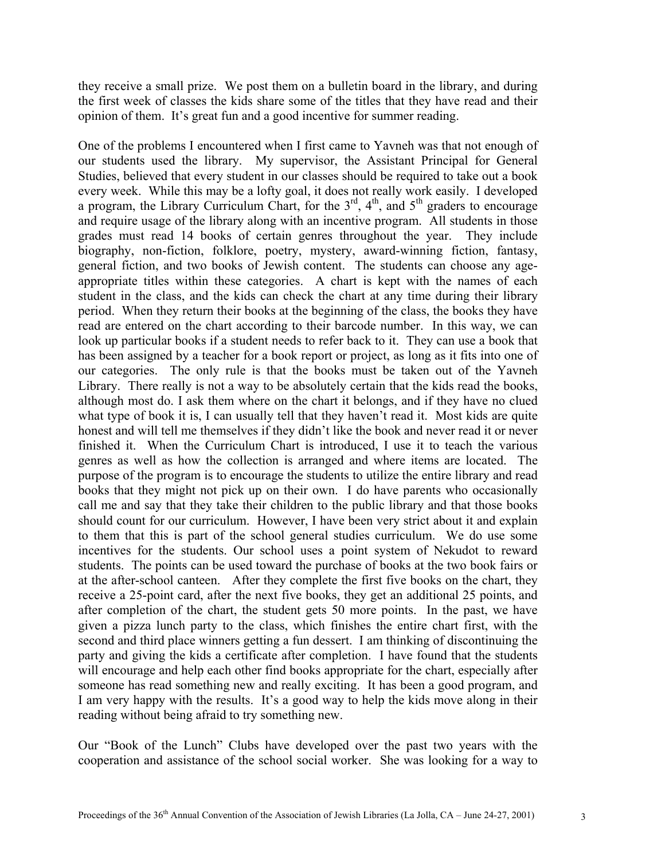they receive a small prize. We post them on a bulletin board in the library, and during the first week of classes the kids share some of the titles that they have read and their opinion of them. It's great fun and a good incentive for summer reading.

One of the problems I encountered when I first came to Yavneh was that not enough of our students used the library. My supervisor, the Assistant Principal for General Studies, believed that every student in our classes should be required to take out a book every week. While this may be a lofty goal, it does not really work easily. I developed a program, the Library Curriculum Chart, for the  $3<sup>rd</sup>$ ,  $4<sup>th</sup>$ , and  $5<sup>th</sup>$  graders to encourage and require usage of the library along with an incentive program. All students in those grades must read 14 books of certain genres throughout the year. They include biography, non-fiction, folklore, poetry, mystery, award-winning fiction, fantasy, general fiction, and two books of Jewish content. The students can choose any ageappropriate titles within these categories. A chart is kept with the names of each student in the class, and the kids can check the chart at any time during their library period. When they return their books at the beginning of the class, the books they have read are entered on the chart according to their barcode number. In this way, we can look up particular books if a student needs to refer back to it. They can use a book that has been assigned by a teacher for a book report or project, as long as it fits into one of our categories. The only rule is that the books must be taken out of the Yavneh Library. There really is not a way to be absolutely certain that the kids read the books, although most do. I ask them where on the chart it belongs, and if they have no clued what type of book it is, I can usually tell that they haven't read it. Most kids are quite honest and will tell me themselves if they didn't like the book and never read it or never finished it. When the Curriculum Chart is introduced, I use it to teach the various genres as well as how the collection is arranged and where items are located. The purpose of the program is to encourage the students to utilize the entire library and read books that they might not pick up on their own. I do have parents who occasionally call me and say that they take their children to the public library and that those books should count for our curriculum. However, I have been very strict about it and explain to them that this is part of the school general studies curriculum. We do use some incentives for the students. Our school uses a point system of Nekudot to reward students. The points can be used toward the purchase of books at the two book fairs or at the after-school canteen. After they complete the first five books on the chart, they receive a 25-point card, after the next five books, they get an additional 25 points, and after completion of the chart, the student gets 50 more points. In the past, we have given a pizza lunch party to the class, which finishes the entire chart first, with the second and third place winners getting a fun dessert. I am thinking of discontinuing the party and giving the kids a certificate after completion. I have found that the students will encourage and help each other find books appropriate for the chart, especially after someone has read something new and really exciting. It has been a good program, and I am very happy with the results. It's a good way to help the kids move along in their reading without being afraid to try something new.

Our "Book of the Lunch" Clubs have developed over the past two years with the cooperation and assistance of the school social worker. She was looking for a way to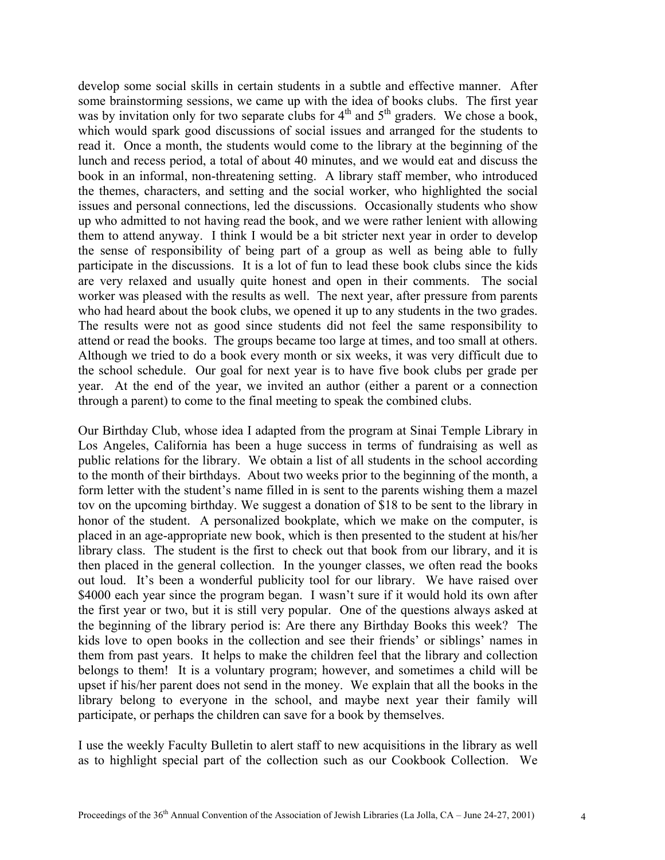develop some social skills in certain students in a subtle and effective manner. After some brainstorming sessions, we came up with the idea of books clubs. The first year was by invitation only for two separate clubs for  $4<sup>th</sup>$  and  $5<sup>th</sup>$  graders. We chose a book, which would spark good discussions of social issues and arranged for the students to read it. Once a month, the students would come to the library at the beginning of the lunch and recess period, a total of about 40 minutes, and we would eat and discuss the book in an informal, non-threatening setting. A library staff member, who introduced the themes, characters, and setting and the social worker, who highlighted the social issues and personal connections, led the discussions. Occasionally students who show up who admitted to not having read the book, and we were rather lenient with allowing them to attend anyway. I think I would be a bit stricter next year in order to develop the sense of responsibility of being part of a group as well as being able to fully participate in the discussions. It is a lot of fun to lead these book clubs since the kids are very relaxed and usually quite honest and open in their comments. The social worker was pleased with the results as well. The next year, after pressure from parents who had heard about the book clubs, we opened it up to any students in the two grades. The results were not as good since students did not feel the same responsibility to attend or read the books. The groups became too large at times, and too small at others. Although we tried to do a book every month or six weeks, it was very difficult due to the school schedule. Our goal for next year is to have five book clubs per grade per year. At the end of the year, we invited an author (either a parent or a connection through a parent) to come to the final meeting to speak the combined clubs.

Our Birthday Club, whose idea I adapted from the program at Sinai Temple Library in Los Angeles, California has been a huge success in terms of fundraising as well as public relations for the library. We obtain a list of all students in the school according to the month of their birthdays. About two weeks prior to the beginning of the month, a form letter with the student's name filled in is sent to the parents wishing them a mazel tov on the upcoming birthday. We suggest a donation of \$18 to be sent to the library in honor of the student. A personalized bookplate, which we make on the computer, is placed in an age-appropriate new book, which is then presented to the student at his/her library class. The student is the first to check out that book from our library, and it is then placed in the general collection. In the younger classes, we often read the books out loud. It's been a wonderful publicity tool for our library. We have raised over \$4000 each year since the program began. I wasn't sure if it would hold its own after the first year or two, but it is still very popular. One of the questions always asked at the beginning of the library period is: Are there any Birthday Books this week? The kids love to open books in the collection and see their friends' or siblings' names in them from past years. It helps to make the children feel that the library and collection belongs to them! It is a voluntary program; however, and sometimes a child will be upset if his/her parent does not send in the money. We explain that all the books in the library belong to everyone in the school, and maybe next year their family will participate, or perhaps the children can save for a book by themselves.

I use the weekly Faculty Bulletin to alert staff to new acquisitions in the library as well as to highlight special part of the collection such as our Cookbook Collection. We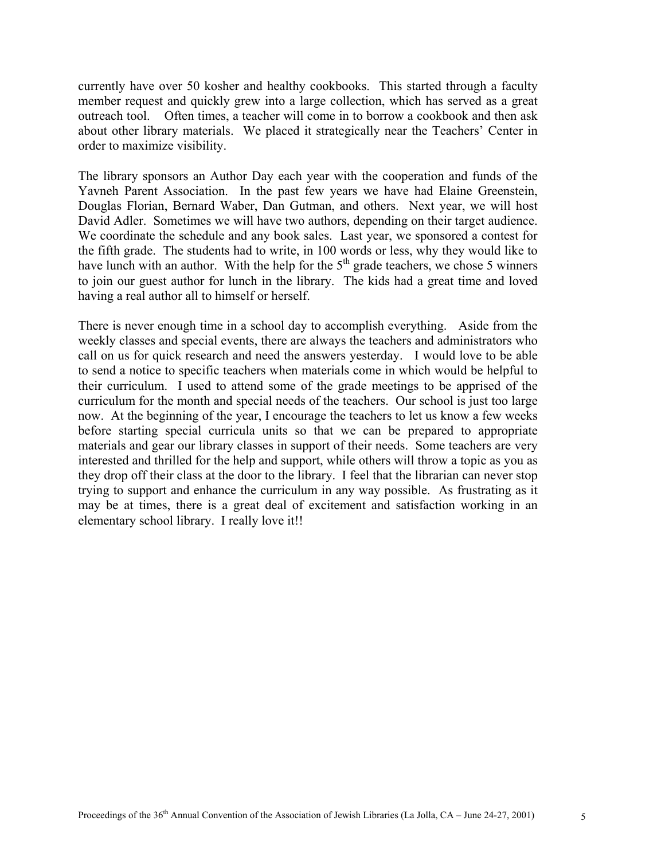currently have over 50 kosher and healthy cookbooks. This started through a faculty member request and quickly grew into a large collection, which has served as a great outreach tool. Often times, a teacher will come in to borrow a cookbook and then ask about other library materials. We placed it strategically near the Teachers' Center in order to maximize visibility.

The library sponsors an Author Day each year with the cooperation and funds of the Yavneh Parent Association. In the past few years we have had Elaine Greenstein, Douglas Florian, Bernard Waber, Dan Gutman, and others. Next year, we will host David Adler. Sometimes we will have two authors, depending on their target audience. We coordinate the schedule and any book sales. Last year, we sponsored a contest for the fifth grade. The students had to write, in 100 words or less, why they would like to have lunch with an author. With the help for the  $5<sup>th</sup>$  grade teachers, we chose 5 winners to join our guest author for lunch in the library. The kids had a great time and loved having a real author all to himself or herself.

There is never enough time in a school day to accomplish everything. Aside from the weekly classes and special events, there are always the teachers and administrators who call on us for quick research and need the answers yesterday. I would love to be able to send a notice to specific teachers when materials come in which would be helpful to their curriculum. I used to attend some of the grade meetings to be apprised of the curriculum for the month and special needs of the teachers. Our school is just too large now. At the beginning of the year, I encourage the teachers to let us know a few weeks before starting special curricula units so that we can be prepared to appropriate materials and gear our library classes in support of their needs. Some teachers are very interested and thrilled for the help and support, while others will throw a topic as you as they drop off their class at the door to the library. I feel that the librarian can never stop trying to support and enhance the curriculum in any way possible. As frustrating as it may be at times, there is a great deal of excitement and satisfaction working in an elementary school library. I really love it!!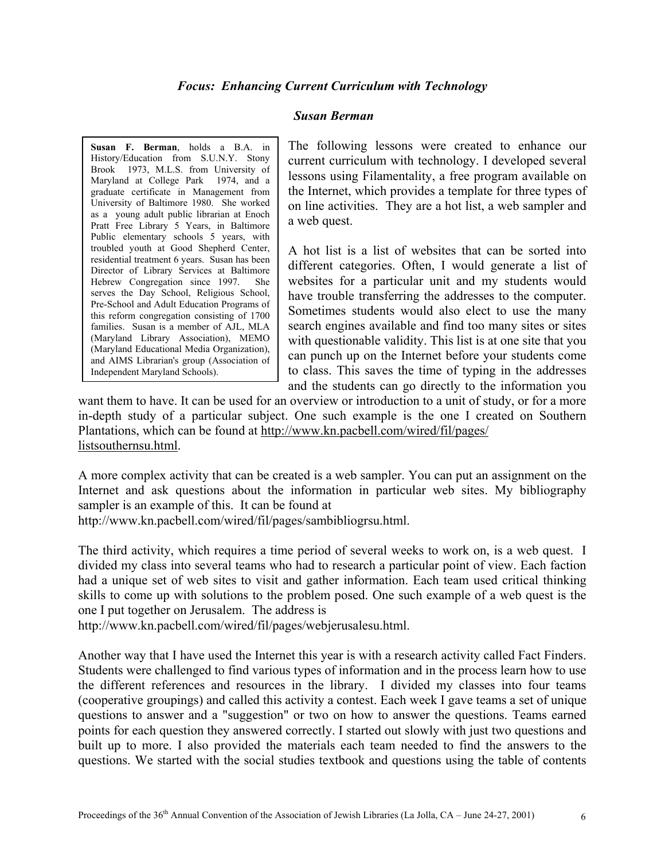## *Focus: Enhancing Current Curriculum with Technology*

### *Susan Berman*

**Susan F. Berman**, holds a B.A. in History/Education from S.U.N.Y. Stony Brook 1973, M.L.S. from University of Maryland at College Park 1974, and a graduate certificate in Management from University of Baltimore 1980. She worked as a young adult public librarian at Enoch Pratt Free Library 5 Years, in Baltimore Public elementary schools 5 years, with troubled youth at Good Shepherd Center, residential treatment 6 years. Susan has been Director of Library Services at Baltimore Hebrew Congregation since 1997. She serves the Day School, Religious School, Pre-School and Adult Education Programs of this reform congregation consisting of 1700 families. Susan is a member of AJL, MLA (Maryland Library Association), MEMO (Maryland Educational Media Organization), and AIMS Librarian's group (Association of Independent Maryland Schools).

The following lessons were created to enhance our current curriculum with technology. I developed several lessons using Filamentality, a free program available on the Internet, which provides a template for three types of on line activities. They are a hot list, a web sampler and a web quest.

A hot list is a list of websites that can be sorted into different categories. Often, I would generate a list of websites for a particular unit and my students would have trouble transferring the addresses to the computer. Sometimes students would also elect to use the many search engines available and find too many sites or sites with questionable validity. This list is at one site that you can punch up on the Internet before your students come to class. This saves the time of typing in the addresses and the students can go directly to the information you

want them to have. It can be used for an overview or introduction to a unit of study, or for a more in-depth study of a particular subject. One such example is the one I created on Southern Plantations, which can be found at http://www.kn.pacbell.com/wired/fil/pages/ listsouthernsu.html.

A more complex activity that can be created is a web sampler. You can put an assignment on the Internet and ask questions about the information in particular web sites. My bibliography sampler is an example of this. It can be found at

http://www.kn.pacbell.com/wired/fil/pages/sambibliogrsu.html.

The third activity, which requires a time period of several weeks to work on, is a web quest. I divided my class into several teams who had to research a particular point of view. Each faction had a unique set of web sites to visit and gather information. Each team used critical thinking skills to come up with solutions to the problem posed. One such example of a web quest is the one I put together on Jerusalem. The address is

http://www.kn.pacbell.com/wired/fil/pages/webjerusalesu.html.

Another way that I have used the Internet this year is with a research activity called Fact Finders. Students were challenged to find various types of information and in the process learn how to use the different references and resources in the library. I divided my classes into four teams (cooperative groupings) and called this activity a contest. Each week I gave teams a set of unique questions to answer and a "suggestion" or two on how to answer the questions. Teams earned points for each question they answered correctly. I started out slowly with just two questions and built up to more. I also provided the materials each team needed to find the answers to the questions. We started with the social studies textbook and questions using the table of contents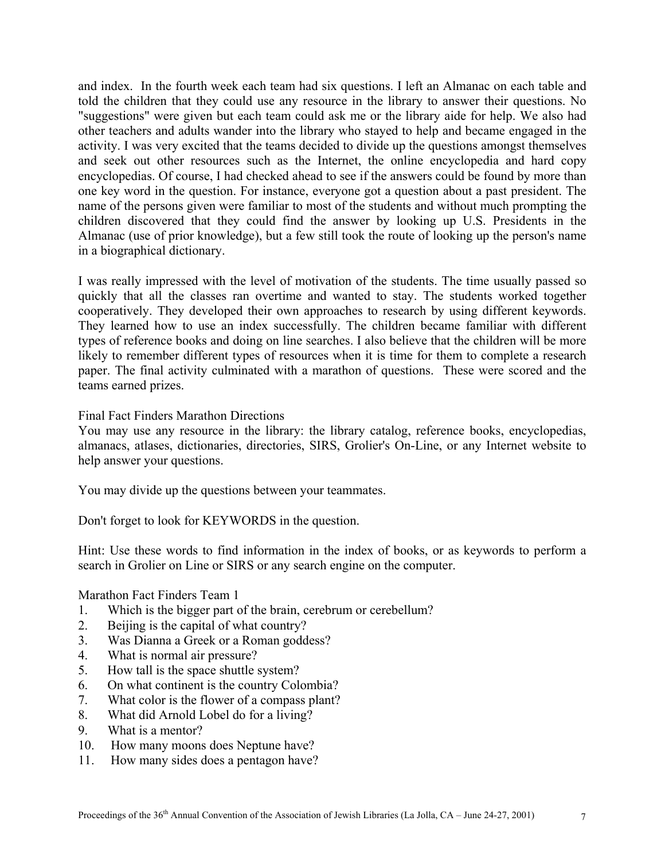and index. In the fourth week each team had six questions. I left an Almanac on each table and told the children that they could use any resource in the library to answer their questions. No "suggestions" were given but each team could ask me or the library aide for help. We also had other teachers and adults wander into the library who stayed to help and became engaged in the activity. I was very excited that the teams decided to divide up the questions amongst themselves and seek out other resources such as the Internet, the online encyclopedia and hard copy encyclopedias. Of course, I had checked ahead to see if the answers could be found by more than one key word in the question. For instance, everyone got a question about a past president. The name of the persons given were familiar to most of the students and without much prompting the children discovered that they could find the answer by looking up U.S. Presidents in the Almanac (use of prior knowledge), but a few still took the route of looking up the person's name in a biographical dictionary.

I was really impressed with the level of motivation of the students. The time usually passed so quickly that all the classes ran overtime and wanted to stay. The students worked together cooperatively. They developed their own approaches to research by using different keywords. They learned how to use an index successfully. The children became familiar with different types of reference books and doing on line searches. I also believe that the children will be more likely to remember different types of resources when it is time for them to complete a research paper. The final activity culminated with a marathon of questions. These were scored and the teams earned prizes.

## Final Fact Finders Marathon Directions

You may use any resource in the library: the library catalog, reference books, encyclopedias, almanacs, atlases, dictionaries, directories, SIRS, Grolier's On-Line, or any Internet website to help answer your questions.

You may divide up the questions between your teammates.

Don't forget to look for KEYWORDS in the question.

Hint: Use these words to find information in the index of books, or as keywords to perform a search in Grolier on Line or SIRS or any search engine on the computer.

Marathon Fact Finders Team 1

- 1. Which is the bigger part of the brain, cerebrum or cerebellum?
- 2. Beijing is the capital of what country?
- 3. Was Dianna a Greek or a Roman goddess?
- 4. What is normal air pressure?
- 5. How tall is the space shuttle system?
- 6. On what continent is the country Colombia?
- 7. What color is the flower of a compass plant?
- 8. What did Arnold Lobel do for a living?
- 9. What is a mentor?
- 10. How many moons does Neptune have?
- 11. How many sides does a pentagon have?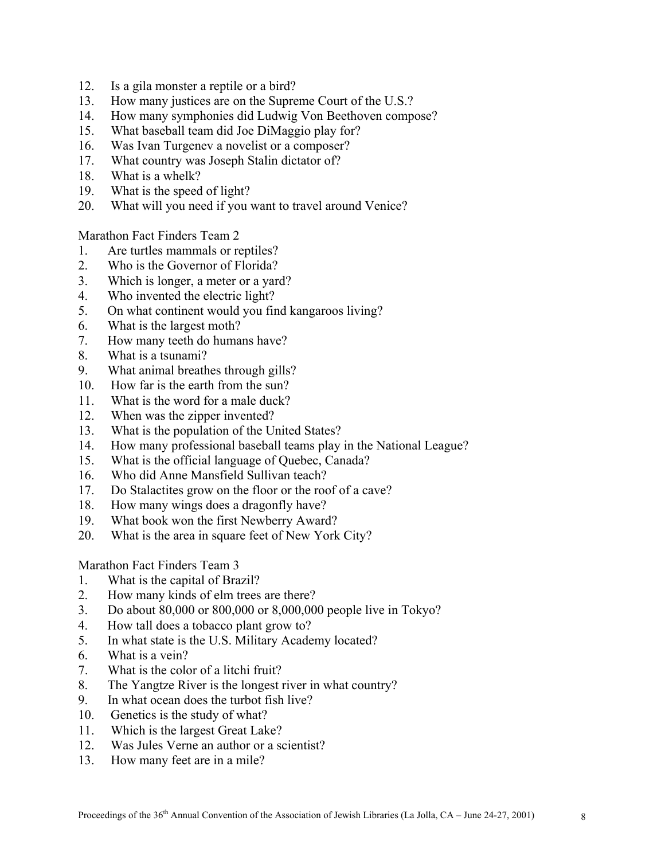- 12. Is a gila monster a reptile or a bird?
- 13. How many justices are on the Supreme Court of the U.S.?
- 14. How many symphonies did Ludwig Von Beethoven compose?
- 15. What baseball team did Joe DiMaggio play for?
- 16. Was Ivan Turgenev a novelist or a composer?
- 17. What country was Joseph Stalin dictator of?
- 18. What is a whelk?
- 19. What is the speed of light?
- 20. What will you need if you want to travel around Venice?

Marathon Fact Finders Team 2

- 1. Are turtles mammals or reptiles?
- 2. Who is the Governor of Florida?
- 3. Which is longer, a meter or a yard?
- 4. Who invented the electric light?
- 5. On what continent would you find kangaroos living?
- 6. What is the largest moth?
- 7. How many teeth do humans have?
- 8. What is a tsunami?
- 9. What animal breathes through gills?
- 10. How far is the earth from the sun?
- 11. What is the word for a male duck?
- 12. When was the zipper invented?
- 13. What is the population of the United States?
- 14. How many professional baseball teams play in the National League?
- 15. What is the official language of Quebec, Canada?
- 16. Who did Anne Mansfield Sullivan teach?
- 17. Do Stalactites grow on the floor or the roof of a cave?
- 18. How many wings does a dragonfly have?
- 19. What book won the first Newberry Award?
- 20. What is the area in square feet of New York City?

Marathon Fact Finders Team 3

- 1. What is the capital of Brazil?
- 2. How many kinds of elm trees are there?
- 3. Do about 80,000 or 800,000 or 8,000,000 people live in Tokyo?
- 4. How tall does a tobacco plant grow to?
- 5. In what state is the U.S. Military Academy located?
- 6. What is a vein?
- 7. What is the color of a litchi fruit?
- 8. The Yangtze River is the longest river in what country?
- 9. In what ocean does the turbot fish live?
- 10. Genetics is the study of what?
- 11. Which is the largest Great Lake?
- 12. Was Jules Verne an author or a scientist?
- 13. How many feet are in a mile?